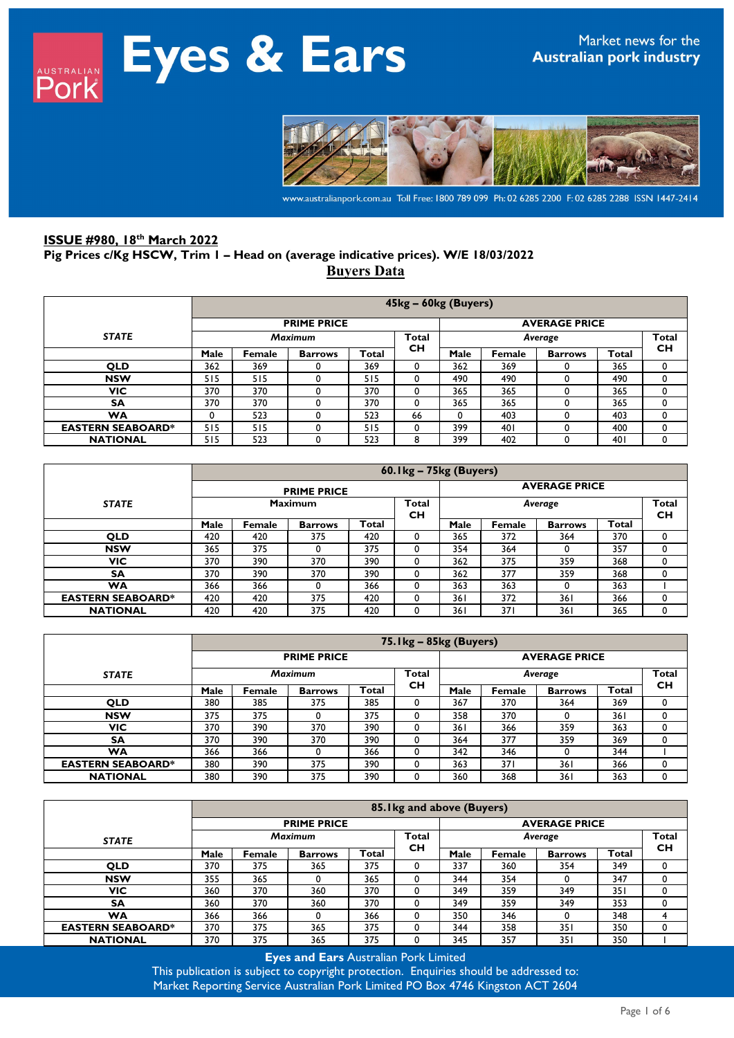

www.australianpork.com.au Toll Free: 1800 789 099 Ph: 02 6285 2200 F: 02 6285 2288 ISSN 1447-2414

## **ISSUE #980, 18th March 2022 Pig Prices c/Kg HSCW, Trim 1 – Head on (average indicative prices). W/E 18/03/2022 Buyers Data**

|                          |                                           | 45kg - 60kg (Buyers)                       |                |       |           |          |        |                |       |           |  |  |  |
|--------------------------|-------------------------------------------|--------------------------------------------|----------------|-------|-----------|----------|--------|----------------|-------|-----------|--|--|--|
|                          |                                           | <b>PRIME PRICE</b><br><b>AVERAGE PRICE</b> |                |       |           |          |        |                |       |           |  |  |  |
| <b>STATE</b>             | <b>Total</b><br><b>Maximum</b><br>Average |                                            |                |       |           |          |        |                | Total |           |  |  |  |
|                          | Male                                      | Female                                     | <b>Barrows</b> | Total | <b>CH</b> | Male     | Female | <b>Barrows</b> | Total | <b>CH</b> |  |  |  |
| <b>QLD</b>               | 362                                       | 369                                        |                | 369   | 0         | 362      | 369    |                | 365   | 0         |  |  |  |
| <b>NSW</b>               | 515                                       | 515                                        | 0              | 515   | 0         | 490      | 490    |                | 490   | 0         |  |  |  |
| <b>VIC</b>               | 370                                       | 370                                        |                | 370   | 0         | 365      | 365    |                | 365   | 0         |  |  |  |
| SΑ                       | 370                                       | 370                                        |                | 370   | 0         | 365      | 365    |                | 365   | 0         |  |  |  |
| WA                       | 0                                         | 523                                        |                | 523   | 66        | $\Omega$ | 403    |                | 403   |           |  |  |  |
| <b>EASTERN SEABOARD*</b> | 515                                       | 515                                        | 0              | 515   | 0         | 399      | 401    |                | 400   | 0         |  |  |  |
| <b>NATIONAL</b>          | 515                                       | 523                                        |                | 523   | 8         | 399      | 402    |                | 40 I  | 0         |  |  |  |

|                          |      | 60.1kg - 75kg (Buyers)                          |                |       |          |      |        |                |                           |   |  |  |  |
|--------------------------|------|-------------------------------------------------|----------------|-------|----------|------|--------|----------------|---------------------------|---|--|--|--|
|                          |      | <b>AVERAGE PRICE</b><br><b>PRIME PRICE</b>      |                |       |          |      |        |                |                           |   |  |  |  |
| <b>STATE</b>             |      | <b>Maximum</b><br>Total<br>Average<br><b>CH</b> |                |       |          |      |        |                | <b>Total</b><br><b>CH</b> |   |  |  |  |
|                          | Male | Female                                          | <b>Barrows</b> | Total |          | Male | Female | <b>Barrows</b> | Total                     |   |  |  |  |
| <b>QLD</b>               | 420  | 420                                             | 375            | 420   | 0        | 365  | 372    | 364            | 370                       |   |  |  |  |
| <b>NSW</b>               | 365  | 375                                             |                | 375   | 0        | 354  | 364    | $\Omega$       | 357                       |   |  |  |  |
| VIC.                     | 370  | 390                                             | 370            | 390   | 0        | 362  | 375    | 359            | 368                       |   |  |  |  |
| <b>SA</b>                | 370  | 390                                             | 370            | 390   | $\Omega$ | 362  | 377    | 359            | 368                       |   |  |  |  |
| <b>WA</b>                | 366  | 366                                             |                | 366   | $\Omega$ | 363  | 363    | $\Omega$       | 363                       |   |  |  |  |
| <b>EASTERN SEABOARD*</b> | 420  | 420                                             | 375            | 420   | 0        | 361  | 372    | 361            | 366                       | 0 |  |  |  |
| <b>NATIONAL</b>          | 420  | 420                                             | 375            | 420   |          | 361  | 371    | 361            | 365                       |   |  |  |  |

|                          |      | 75. Ikg - 85kg (Buyers) |                    |              |           |                         |        |                |       |    |  |  |
|--------------------------|------|-------------------------|--------------------|--------------|-----------|-------------------------|--------|----------------|-------|----|--|--|
|                          |      |                         | <b>PRIME PRICE</b> |              |           | <b>AVERAGE PRICE</b>    |        |                |       |    |  |  |
| <b>STATE</b>             |      | <b>Maximum</b>          |                    |              |           | <b>Total</b><br>Average |        |                |       |    |  |  |
|                          | Male | Female                  | <b>Barrows</b>     | <b>Total</b> | <b>CH</b> | Male                    | Female | <b>Barrows</b> | Total | CН |  |  |
| <b>QLD</b>               | 380  | 385                     | 375                | 385          |           | 367                     | 370    | 364            | 369   |    |  |  |
| <b>NSW</b>               | 375  | 375                     |                    | 375          |           | 358                     | 370    |                | 361   |    |  |  |
| <b>VIC</b>               | 370  | 390                     | 370                | 390          |           | 361                     | 366    | 359            | 363   |    |  |  |
| <b>SA</b>                | 370  | 390                     | 370                | 390          |           | 364                     | 377    | 359            | 369   |    |  |  |
| <b>WA</b>                | 366  | 366                     |                    | 366          |           | 342                     | 346    |                | 344   |    |  |  |
| <b>EASTERN SEABOARD*</b> | 380  | 390                     | 375                | 390          | $_{0}$    | 363                     | 371    | 361            | 366   |    |  |  |
| <b>NATIONAL</b>          | 380  | 390                     | 375                | 390          |           | 360                     | 368    | 361            | 363   |    |  |  |

|                          |      | 85. Ikg and above (Buyers) |                    |       |           |                                      |        |                      |       |   |  |  |
|--------------------------|------|----------------------------|--------------------|-------|-----------|--------------------------------------|--------|----------------------|-------|---|--|--|
|                          |      |                            | <b>PRIME PRICE</b> |       |           |                                      |        | <b>AVERAGE PRICE</b> |       |   |  |  |
| <b>STATE</b>             |      | <b>Maximum</b>             |                    |       |           | <b>Total</b><br>Average<br><b>CH</b> |        |                      |       |   |  |  |
|                          | Male | Female                     | <b>Barrows</b>     | Total | <b>CH</b> | Male                                 | Female | <b>Barrows</b>       | Total |   |  |  |
| <b>QLD</b>               | 370  | 375                        | 365                | 375   | 0         | 337                                  | 360    | 354                  | 349   |   |  |  |
| <b>NSW</b>               | 355  | 365                        |                    | 365   | 0         | 344                                  | 354    |                      | 347   | 0 |  |  |
| VIC                      | 360  | 370                        | 360                | 370   | 0         | 349                                  | 359    | 349                  | 351   |   |  |  |
| <b>SA</b>                | 360  | 370                        | 360                | 370   | 0         | 349                                  | 359    | 349                  | 353   | 0 |  |  |
| <b>WA</b>                | 366  | 366                        |                    | 366   | 0         | 350                                  | 346    |                      | 348   |   |  |  |
| <b>EASTERN SEABOARD*</b> | 370  | 375                        | 365                | 375   | $\Omega$  | 344                                  | 358    | 351                  | 350   |   |  |  |
| <b>NATIONAL</b>          | 370  | 375                        | 365                | 375   | 0         | 345                                  | 357    | 351                  | 350   |   |  |  |

**Eyes and Ears** Australian Pork Limited

This publication is subject to copyright protection. Enquiries should be addressed to: Market Reporting Service Australian Pork Limited PO Box 4746 Kingston ACT 2604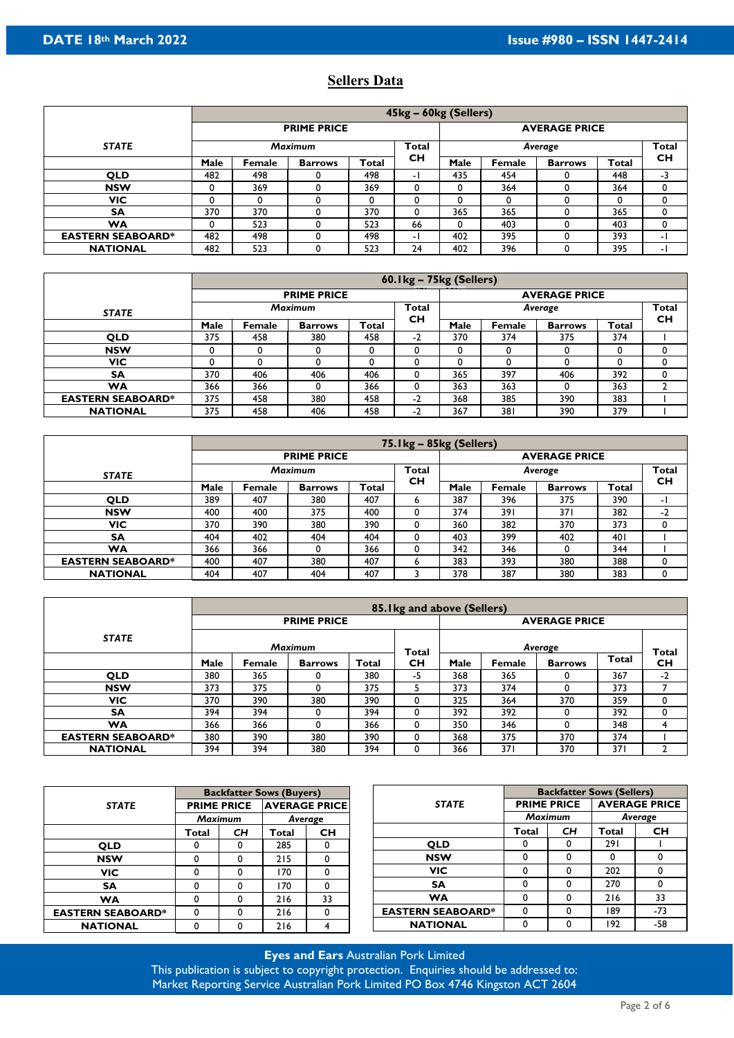## **Sellers Data**

|                          |      | 45kg - 60kg (Sellers) |                    |              |     |                         |        |                      |       |           |  |  |
|--------------------------|------|-----------------------|--------------------|--------------|-----|-------------------------|--------|----------------------|-------|-----------|--|--|
|                          |      |                       | <b>PRIME PRICE</b> |              |     |                         |        | <b>AVERAGE PRICE</b> |       |           |  |  |
| <b>STATE</b>             |      | <b>Maximum</b>        |                    |              |     | <b>Total</b><br>Average |        |                      |       |           |  |  |
|                          | Male | Female                | <b>Barrows</b>     | <b>Total</b> | CН  | Male                    | Female | <b>Barrows</b>       | Total | <b>CH</b> |  |  |
| <b>QLD</b>               | 482  | 498                   |                    | 498          | - 1 | 435                     | 454    |                      | 448   | -3        |  |  |
| <b>NSW</b>               | 0    | 369                   |                    | 369          | 0   | 0                       | 364    |                      | 364   |           |  |  |
| <b>VIC</b>               | 0    |                       |                    | 0            | 0   | 0                       | 0      |                      |       |           |  |  |
| <b>SA</b>                | 370  | 370                   |                    | 370          | 0   | 365                     | 365    |                      | 365   |           |  |  |
| <b>WA</b>                | 0    | 523                   |                    | 523          | 66  | 0                       | 403    |                      | 403   |           |  |  |
| <b>EASTERN SEABOARD*</b> | 482  | 498                   |                    | 498          | - 1 | 402                     | 395    |                      | 393   | - 1       |  |  |
| <b>NATIONAL</b>          | 482  | 523                   |                    | 523          | 24  | 402                     | 396    |                      | 395   | - 1       |  |  |

|                          |      |                |                    |       | 60.1kg - 75kg (Sellers) |                      |        |                |       |                    |  |
|--------------------------|------|----------------|--------------------|-------|-------------------------|----------------------|--------|----------------|-------|--------------------|--|
|                          |      |                | <b>PRIME PRICE</b> |       |                         | <b>AVERAGE PRICE</b> |        |                |       |                    |  |
| <b>STATE</b>             |      | <b>Maximum</b> |                    |       |                         |                      |        | Average        |       | <b>Total</b><br>CН |  |
|                          | Male | Female         | <b>Barrows</b>     | Total | CН                      | Male                 | Female | <b>Barrows</b> | Total |                    |  |
| <b>QLD</b>               | 375  | 458            | 380                | 458   | $-2$                    | 370                  | 374    | 375            | 374   |                    |  |
| <b>NSW</b>               | 0    |                |                    |       |                         |                      | 0      |                |       |                    |  |
| VIC                      | 0    |                |                    |       |                         |                      | 0      |                |       |                    |  |
| <b>SA</b>                | 370  | 406            | 406                | 406   |                         | 365                  | 397    | 406            | 392   |                    |  |
| WA                       | 366  | 366            |                    | 366   |                         | 363                  | 363    |                | 363   |                    |  |
| <b>EASTERN SEABOARD*</b> | 375  | 458            | 380                | 458   | $-2$                    | 368                  | 385    | 390            | 383   |                    |  |
| <b>NATIONAL</b>          | 375  | 458            | 406                | 458   | ∍<br>-2                 | 367                  | 381    | 390            | 379   |                    |  |

|                          |      | $75.1$ kg – $85$ kg (Sellers) |                    |       |           |                                         |        |                |       |           |  |  |
|--------------------------|------|-------------------------------|--------------------|-------|-----------|-----------------------------------------|--------|----------------|-------|-----------|--|--|
|                          |      |                               | <b>PRIME PRICE</b> |       |           | <b>AVERAGE PRICE</b>                    |        |                |       |           |  |  |
| <b>STATE</b>             |      | <b>Maximum</b>                |                    |       |           | <b>Total</b><br><b>Total</b><br>Average |        |                |       |           |  |  |
|                          | Male | Female                        | <b>Barrows</b>     | Total | <b>CH</b> | Male                                    | Female | <b>Barrows</b> | Total | <b>CH</b> |  |  |
| <b>QLD</b>               | 389  | 407                           | 380                | 407   | ь         | 387                                     | 396    | 375            | 390   | - 1       |  |  |
| <b>NSW</b>               | 400  | 400                           | 375                | 400   | $\Omega$  | 374                                     | 391    | 371            | 382   | -2        |  |  |
| VIC                      | 370  | 390                           | 380                | 390   |           | 360                                     | 382    | 370            | 373   |           |  |  |
| <b>SA</b>                | 404  | 402                           | 404                | 404   |           | 403                                     | 399    | 402            | 401   |           |  |  |
| WA                       | 366  | 366                           |                    | 366   |           | 342                                     | 346    |                | 344   |           |  |  |
| <b>EASTERN SEABOARD*</b> | 400  | 407                           | 380                | 407   | n         | 383                                     | 393    | 380            | 388   |           |  |  |
| <b>NATIONAL</b>          | 404  | 407                           | 404                | 407   |           | 378                                     | 387    | 380            | 383   |           |  |  |

|                          |      |                |                    |       | 85. I kg and above (Sellers) |                         |               |                |                 |           |  |
|--------------------------|------|----------------|--------------------|-------|------------------------------|-------------------------|---------------|----------------|-----------------|-----------|--|
|                          |      |                | <b>PRIME PRICE</b> |       |                              | <b>AVERAGE PRICE</b>    |               |                |                 |           |  |
| <b>STATE</b>             |      | <b>Maximum</b> |                    |       |                              | Average<br><b>Total</b> |               |                |                 |           |  |
|                          | Male | Female         | <b>Barrows</b>     | Total | Total<br><b>CH</b>           | Male                    | <b>Female</b> | <b>Barrows</b> | <b>Total</b>    | <b>CH</b> |  |
| <b>QLD</b>               | 380  | 365            |                    | 380   | -5                           | 368                     | 365           |                | 367             | $-2$      |  |
| <b>NSW</b>               | 373  | 375            |                    | 375   |                              | 373                     | 374           |                | 373             |           |  |
| VIC.                     | 370  | 390            | 380                | 390   | 0                            | 325                     | 364           | 370            | 359             |           |  |
| <b>SA</b>                | 394  | 394            |                    | 394   | $\Omega$                     | 392                     | 392           | 0              | 392             |           |  |
| <b>WA</b>                | 366  | 366            |                    | 366   | 0                            | 350                     | 346           |                | 348             |           |  |
| <b>EASTERN SEABOARD*</b> | 380  | 390            | 380                | 390   | $\Omega$                     | 368                     | 375           | 370            | 374             |           |  |
| <b>NATIONAL</b>          | 394  | 394            | 380                | 394   |                              | 366                     | 371           | 370            | 37 <sup>1</sup> |           |  |

|                          |       |                                            | <b>Backfatter Sows (Buyers)</b> |           |                          | <b>Backfatter Sows (Sellers)</b> |    |                      |           |  |
|--------------------------|-------|--------------------------------------------|---------------------------------|-----------|--------------------------|----------------------------------|----|----------------------|-----------|--|
| <b>STATE</b>             |       | <b>AVERAGE PRICE</b><br><b>PRIME PRICE</b> |                                 |           | <b>STATE</b>             | <b>PRIME PRICE</b>               |    | <b>AVERAGE PRICE</b> |           |  |
|                          |       | <b>Maximum</b>                             | Average                         |           |                          | <b>Maximum</b>                   |    | Average              |           |  |
|                          | Total | <b>CH</b>                                  | Total                           | <b>CH</b> |                          | Total                            | CН | Total                | <b>CH</b> |  |
| <b>OLD</b>               |       |                                            | 285                             | 0         | <b>QLD</b>               | 0                                | 0  | 291                  |           |  |
| <b>NSW</b>               | 0     |                                            | 215                             | 0         | <b>NSW</b>               | 0                                | U  | 0                    | 0         |  |
| VIC.                     |       |                                            | 170                             | 0         | <b>VIC</b>               | 0                                |    | 202                  | 0         |  |
| <b>SA</b>                |       |                                            | 170                             | 0         | <b>SA</b>                | 0                                |    | 270                  | 0         |  |
| <b>WA</b>                | 0     |                                            | 216                             | 33        | <b>WA</b>                | 0                                | n  | 216                  | 33        |  |
| <b>EASTERN SEABOARD*</b> | 0     |                                            | 216                             | 0         | <b>EASTERN SEABOARD*</b> | 0                                |    | 189                  | $-73$     |  |
| <b>NATIONAL</b>          |       |                                            | 216                             | 4         | <b>NATIONAL</b>          | 0                                |    | 192                  | -58       |  |

**Eyes and Ears** Australian Pork Limited This publication is subject to copyright protection. Enquiries should be addressed to: Market Reporting Service Australian Pork Limited PO Box 4746 Kingston ACT 2604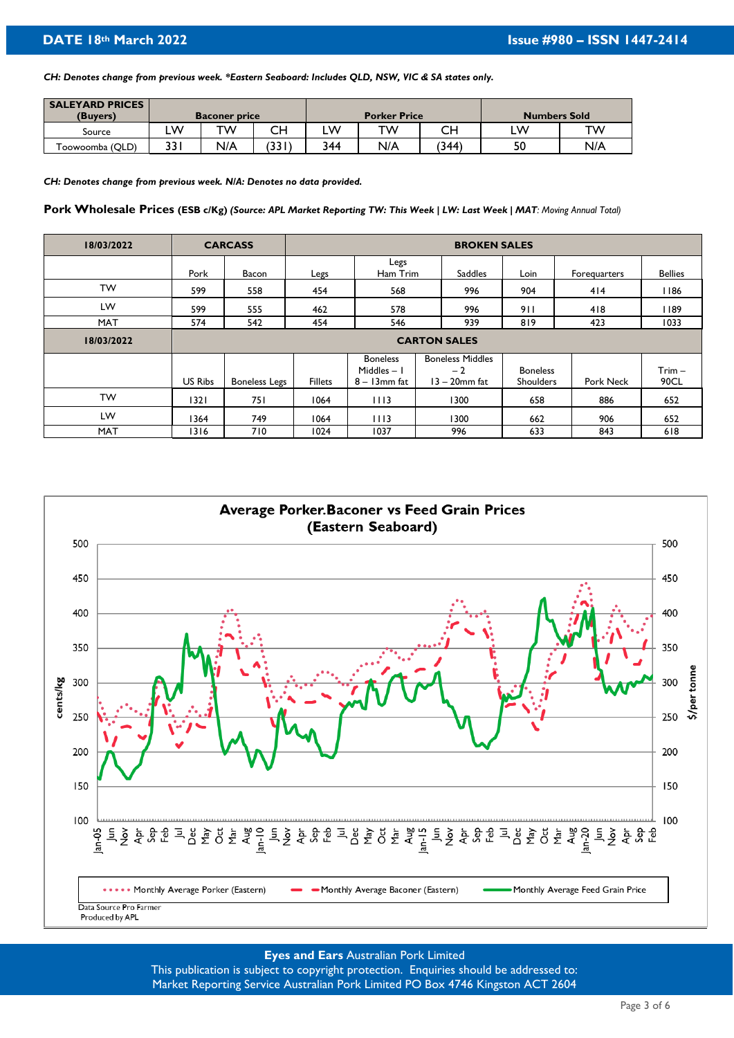*CH: Denotes change from previous week. \*Eastern Seaboard: Includes QLD, NSW, VIC & SA states only.*

| <b>SALEYARD PRICES</b> |      |                      |       |     |                     |       |                     |     |  |
|------------------------|------|----------------------|-------|-----|---------------------|-------|---------------------|-----|--|
| (Buvers)               |      | <b>Baconer price</b> |       |     | <b>Porker Price</b> |       | <b>Numbers Sold</b> |     |  |
| Source                 | W    | тw                   | CН    | LW  | тw                  |       | LW                  | тw  |  |
| Toowoomba (QLD)        | 33 I | N/A                  | (331) | 344 | N/A                 | (344) | 50                  | N/A |  |

*CH: Denotes change from previous week. N/A: Denotes no data provided.* 

**Pork Wholesale Prices (ESB c/Kg)** *(Source: APL Market Reporting TW: This Week | LW: Last Week | MAT: Moving Annual Total)* 

| 18/03/2022 |         | <b>CARCASS</b>       |                |                                                    |                                                     | <b>BROKEN SALES</b>                 |              |                  |
|------------|---------|----------------------|----------------|----------------------------------------------------|-----------------------------------------------------|-------------------------------------|--------------|------------------|
|            | Pork    | Bacon                | Legs           | Legs<br>Ham Trim                                   | Saddles                                             | Loin                                | Forequarters | <b>Bellies</b>   |
| <b>TW</b>  | 599     | 558                  | 454            | 568                                                | 996                                                 | 904                                 | 414          | 1186             |
| LW         | 599     | 555                  | 462            | 578                                                | 996                                                 | 911                                 | 418          | 1189             |
| <b>MAT</b> | 574     | 542                  | 454            | 546                                                | 939                                                 | 819                                 | 423          | 1033             |
| 18/03/2022 |         |                      |                |                                                    | <b>CARTON SALES</b>                                 |                                     |              |                  |
|            | US Ribs | <b>Boneless Legs</b> | <b>Fillets</b> | <b>Boneless</b><br>Middles $-1$<br>$8 - 13$ mm fat | <b>Boneless Middles</b><br>$-2$<br>$13 - 20$ mm fat | <b>Boneless</b><br><b>Shoulders</b> | Pork Neck    | $Trim -$<br>90CL |
| <b>TW</b>  | 1321    | 751                  | 1064           | 1113                                               | 1300                                                | 658                                 | 886          | 652              |
| LW         | 1364    | 749                  | 1064           | 1113                                               | 1300                                                | 662                                 | 906          | 652              |
| <b>MAT</b> | 1316    | 710                  | 1024           | 1037                                               | 996                                                 | 633                                 | 843          | 618              |



# **Eyes and Ears** Australian Pork Limited

This publication is subject to copyright protection. Enquiries should be addressed to: Market Reporting Service Australian Pork Limited PO Box 4746 Kingston ACT 2604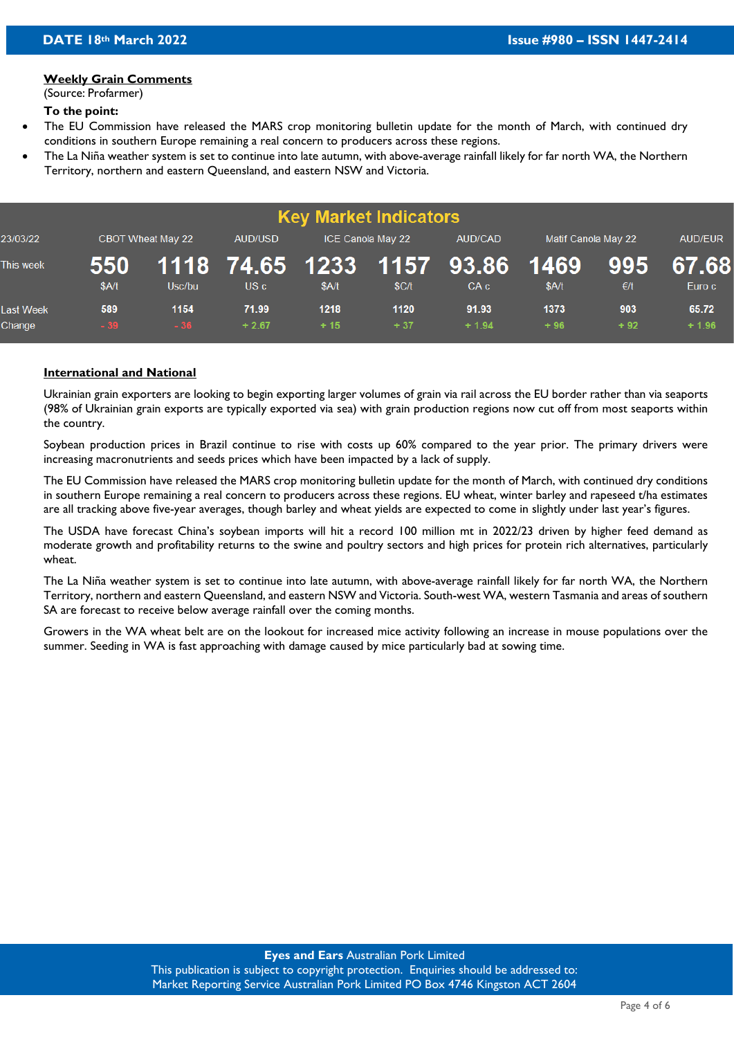#### **Weekly Grain Comments**

(Source: Profarmer)

#### **To the point:**

- The EU Commission have released the MARS crop monitoring bulletin update for the month of March, with continued dry conditions in southern Europe remaining a real concern to producers across these regions.
- The La Niña weather system is set to continue into late autumn, with above-average rainfall likely for far north WA, the Northern Territory, northern and eastern Queensland, and eastern NSW and Victoria.

| <b>Key Market Indicators</b> |              |                          |                  |               |                   |                                         |                     |              |                  |  |  |  |
|------------------------------|--------------|--------------------------|------------------|---------------|-------------------|-----------------------------------------|---------------------|--------------|------------------|--|--|--|
| 23/03/22                     |              | <b>CBOT Wheat May 22</b> | AUD/USD          |               | ICE Canola May 22 | AUD/CAD                                 | Matif Canola May 22 |              | <b>AUD/EUR</b>   |  |  |  |
| This week                    | 550<br>\$A/t | Usc/bu                   | US c             | \$A/t         | \$C/t             | 1118 74.65 1233 1157 93.86 1469<br>CA c | \$A/t               | 995<br>€/t   | 67.68<br>Euro c  |  |  |  |
| <b>Last Week</b><br>Change   | 589<br>$-39$ | 1154<br>$-36$            | 71.99<br>$+2.67$ | 1218<br>$+15$ | 1120<br>$+37$     | 91.93<br>$+1.94$                        | 1373<br>$+96$       | 903<br>$+92$ | 65.72<br>$+1.96$ |  |  |  |

### **International and National**

Ukrainian grain exporters are looking to begin exporting larger volumes of grain via rail across the EU border rather than via seaports (98% of Ukrainian grain exports are typically exported via sea) with grain production regions now cut off from most seaports within the country.

Soybean production prices in Brazil continue to rise with costs up 60% compared to the year prior. The primary drivers were increasing macronutrients and seeds prices which have been impacted by a lack of supply.

The EU Commission have released the MARS crop monitoring bulletin update for the month of March, with continued dry conditions in southern Europe remaining a real concern to producers across these regions. EU wheat, winter barley and rapeseed t/ha estimates are all tracking above five-year averages, though barley and wheat yields are expected to come in slightly under last year's figures.

The USDA have forecast China's soybean imports will hit a record 100 million mt in 2022/23 driven by higher feed demand as moderate growth and profitability returns to the swine and poultry sectors and high prices for protein rich alternatives, particularly wheat.

The La Niña weather system is set to continue into late autumn, with above-average rainfall likely for far north WA, the Northern Territory, northern and eastern Queensland, and eastern NSW and Victoria. South-west WA, western Tasmania and areas of southern SA are forecast to receive below average rainfall over the coming months.

Growers in the WA wheat belt are on the lookout for increased mice activity following an increase in mouse populations over the summer. Seeding in WA is fast approaching with damage caused by mice particularly bad at sowing time.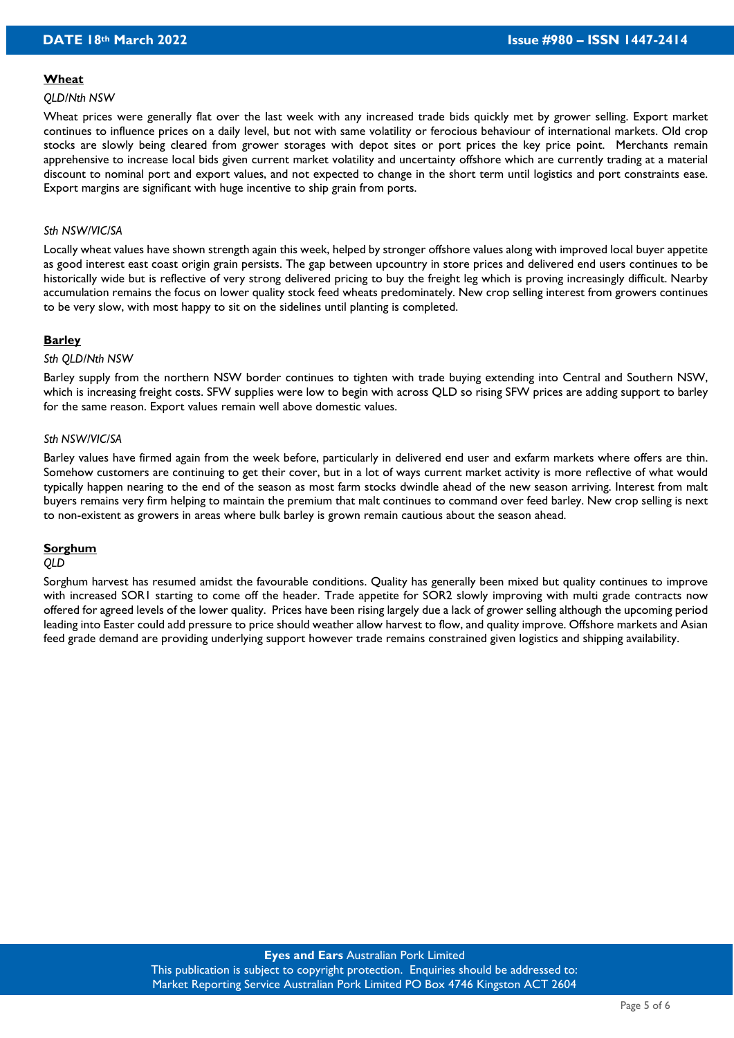#### **Wheat**

#### *QLD/Nth NSW*

Wheat prices were generally flat over the last week with any increased trade bids quickly met by grower selling. Export market continues to influence prices on a daily level, but not with same volatility or ferocious behaviour of international markets. Old crop stocks are slowly being cleared from grower storages with depot sites or port prices the key price point. Merchants remain apprehensive to increase local bids given current market volatility and uncertainty offshore which are currently trading at a material discount to nominal port and export values, and not expected to change in the short term until logistics and port constraints ease. Export margins are significant with huge incentive to ship grain from ports.

#### *Sth NSW/VIC/SA*

Locally wheat values have shown strength again this week, helped by stronger offshore values along with improved local buyer appetite as good interest east coast origin grain persists. The gap between upcountry in store prices and delivered end users continues to be historically wide but is reflective of very strong delivered pricing to buy the freight leg which is proving increasingly difficult. Nearby accumulation remains the focus on lower quality stock feed wheats predominately. New crop selling interest from growers continues to be very slow, with most happy to sit on the sidelines until planting is completed.

#### **Barley**

#### *Sth QLD/Nth NSW*

Barley supply from the northern NSW border continues to tighten with trade buying extending into Central and Southern NSW, which is increasing freight costs. SFW supplies were low to begin with across QLD so rising SFW prices are adding support to barley for the same reason. Export values remain well above domestic values.

#### *Sth NSW/VIC/SA*

Barley values have firmed again from the week before, particularly in delivered end user and exfarm markets where offers are thin. Somehow customers are continuing to get their cover, but in a lot of ways current market activity is more reflective of what would typically happen nearing to the end of the season as most farm stocks dwindle ahead of the new season arriving. Interest from malt buyers remains very firm helping to maintain the premium that malt continues to command over feed barley. New crop selling is next to non-existent as growers in areas where bulk barley is grown remain cautious about the season ahead.

#### **Sorghum**

#### *QLD*

Sorghum harvest has resumed amidst the favourable conditions. Quality has generally been mixed but quality continues to improve with increased SOR1 starting to come off the header. Trade appetite for SOR2 slowly improving with multi grade contracts now offered for agreed levels of the lower quality. Prices have been rising largely due a lack of grower selling although the upcoming period leading into Easter could add pressure to price should weather allow harvest to flow, and quality improve. Offshore markets and Asian feed grade demand are providing underlying support however trade remains constrained given logistics and shipping availability.